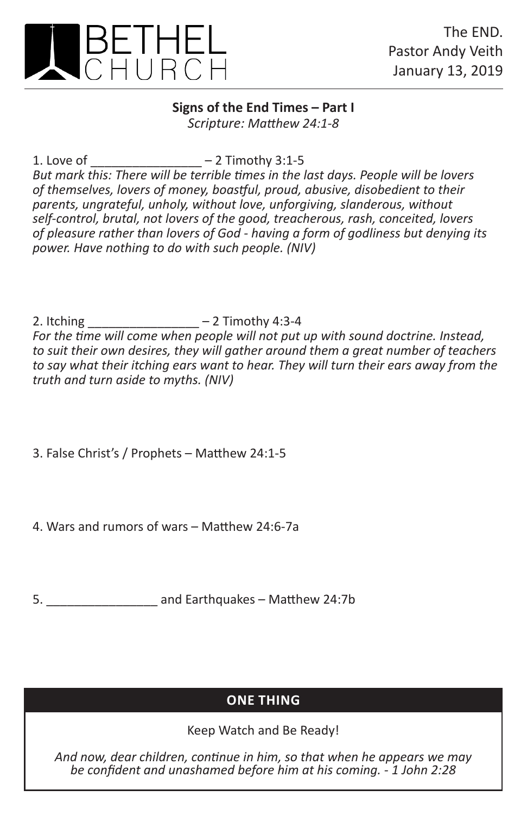

## **Signs of the End Times – Part I** *Scripture: Matthew 24:1-8*

1. Love of  $-2$  Timothy 3:1-5

*But mark this: There will be terrible times in the last days. People will be lovers of themselves, lovers of money, boastful, proud, abusive, disobedient to their parents, ungrateful, unholy, without love, unforgiving, slanderous, without self-control, brutal, not lovers of the good, treacherous, rash, conceited, lovers of pleasure rather than lovers of God - having a form of godliness but denying its power. Have nothing to do with such people. (NIV)*

2. Itching \_\_\_\_\_\_\_\_\_\_\_\_\_\_\_\_ – 2 Timothy 4:3-4

*For the time will come when people will not put up with sound doctrine. Instead, to suit their own desires, they will gather around them a great number of teachers to say what their itching ears want to hear. They will turn their ears away from the truth and turn aside to myths. (NIV)*

3. False Christ's / Prophets – Matthew 24:1-5

4. Wars and rumors of wars – Matthew 24:6-7a

5. \_\_\_\_\_\_\_\_\_\_\_\_\_\_\_\_ and Earthquakes – Matthew 24:7b

## **ONE THING**

Keep Watch and Be Ready!

*And now, dear children, continue in him, so that when he appears we may be confident and unashamed before him at his coming. - 1 John 2:28*